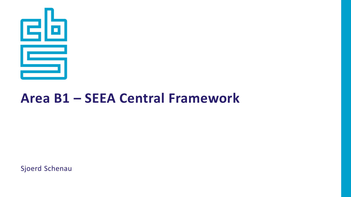

#### **Area B1 – SEEA Central Framework**

Sjoerd Schenau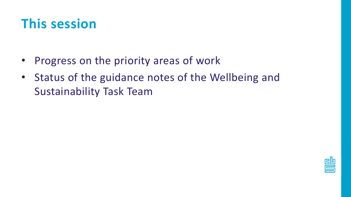#### **This session**

- Progress on the priority areas of work
- Status of the guidance notes of the Wellbeing and Sustainability Task Team

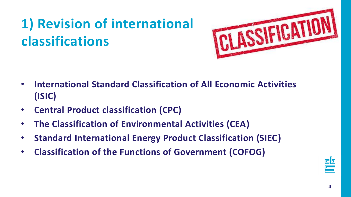# **1) Revision of international classifications**



- **International Standard Classification of All Economic Activities (ISIC)**
- **Central Product classification (CPC)**
- **The Classification of Environmental Activities (CEA)**
- **Standard International Energy Product Classification (SIEC)**
- **Classification of the Functions of Government (COFOG)**

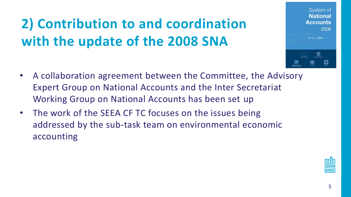# **2) Contribution to and coordination with the update of the 2008 SNA**

- A collaboration agreement between the Committee, the Advisory Expert Group on National Accounts and the Inter Secretariat Working Group on National Accounts has been set up
- The work of the SEEA CF TC focuses on the issues being addressed by the sub-task team on environmental economic accounting



System of **National Accounts** 

2008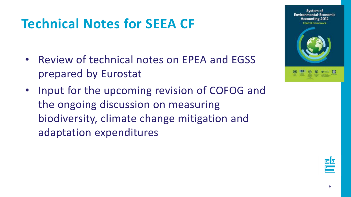### **Technical Notes for SEEA CF**

- Review of technical notes on EPEA and EGSS prepared by Eurostat
- Input for the upcoming revision of COFOG and the ongoing discussion on measuring biodiversity, climate change mitigation and adaptation expenditures